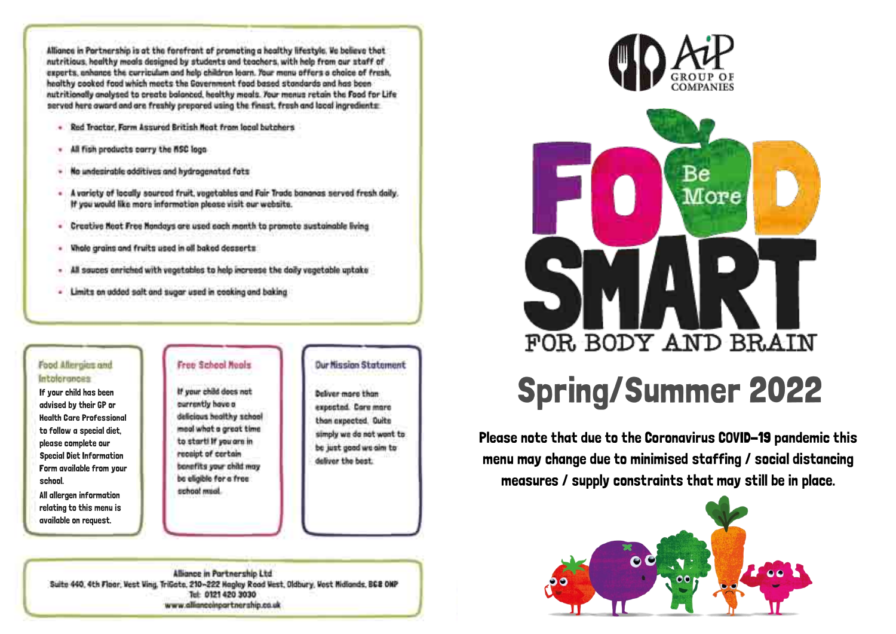Alliance in Portnership is at the forefront of promoting a healthy lifestyle. We believe that nutritious, healthy meals designed by students and teachers, with help from our staff of experts, anhance the curriculum and help children learn. Your manu offers a choice of fresh. healthy cooked food which meets the Government food based standards and has been nutritionally analysed to create balanced, healthy meals. Your menus retain the Food for Life served here award and are freshly prepared using the finast, fresh and lacal ingredients:

- Red Tractor, Farm Assured British Neat from local butchers
- All figh products carry the RSC local
- No undepirable additives and hydrogenated fats
- A variety of locally sourced fruit, vogetables and Fair Trade bananas served fresh daily. If you would like more information please visit our website.
- Creative Neat Free Nandays are used each month to promote sustainable living
- . Whole grains and fruits used in all baked desserts
- All sauces enriched with vegetables to help increase the doily vegetable uptake
- Limits on udded salt and sugar used in coaking and baking

### Food Altergias and Intalerances

If your child has been advised by their GP or **Health Care Professional** to follow a special diet. please complete our **Special Diet Information** Form available from your school. All allergen information relating to this menu is

# available on request.

### Free School Hooks

If your child does not currently have a delicious healthy school moal what a great time to starti if you are in receipt of certain benefits your child may be eligible for a free school musil.

## **Dur Nission Statement**

**Deliver more than** exposted. Care mare than axpected. Quite simply we do not wont to be just good we aim to deliver the best.

Alliance in Partnership Ltd. Suite 440, 4th Floor, Vest Ving, TriGate, 210~222 Hagley Road Vest, Oldbury, Vost Midlands, BCB ONP Tel: 0121 420 3030 www.alliancoinpartnership.co.uk





# **Spring/Summer 2022**

Please note that due to the Coronavirus COVID-19 pandemic this menu may change due to minimised staffing / social distancing measures / supply constraints that may still be in place.